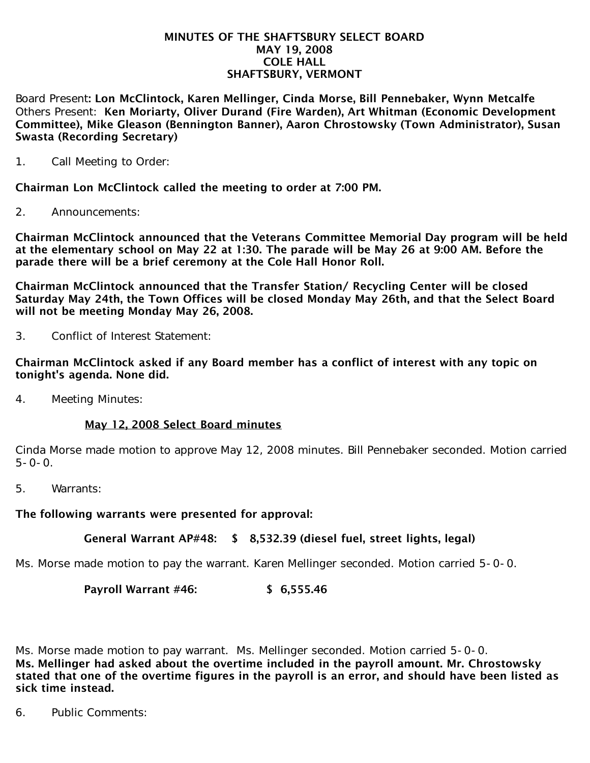#### MINUTES OF THE SHAFTSBURY SELECT BOARD MAY 19, 2008 COLE HALL SHAFTSBURY, VERMONT

Board Present: Lon McClintock, Karen Mellinger, Cinda Morse, Bill Pennebaker, Wynn Metcalfe Others Present: Ken Moriarty, Oliver Durand (Fire Warden), Art Whitman (Economic Development Committee), Mike Gleason (Bennington Banner), Aaron Chrostowsky (Town Administrator), Susan Swasta (Recording Secretary)

1. Call Meeting to Order:

Chairman Lon McClintock called the meeting to order at 7:00 PM.

2. Announcements:

Chairman McClintock announced that the Veterans Committee Memorial Day program will be held at the elementary school on May 22 at 1:30. The parade will be May 26 at 9:00 AM. Before the parade there will be a brief ceremony at the Cole Hall Honor Roll.

Chairman McClintock announced that the Transfer Station/ Recycling Center will be closed Saturday May 24th, the Town Offices will be closed Monday May 26th, and that the Select Board will not be meeting Monday May 26, 2008.

3. Conflict of Interest Statement:

Chairman McClintock asked if any Board member has a conflict of interest with any topic on tonight's agenda. None did.

4. Meeting Minutes:

### May 12, 2008 Select Board minutes

Cinda Morse made motion to approve May 12, 2008 minutes. Bill Pennebaker seconded. Motion carried  $5 - 0 - 0$ .

5. Warrants:

The following warrants were presented for approval:

### General Warrant AP#48: \$ 8,532.39 (diesel fuel, street lights, legal)

Ms. Morse made motion to pay the warrant. Karen Mellinger seconded. Motion carried 5-0-0.

### Payroll Warrant #46: \$ 6,555.46

Ms. Morse made motion to pay warrant. Ms. Mellinger seconded. Motion carried 5-0-0. Ms. Mellinger had asked about the overtime included in the payroll amount. Mr. Chrostowsky stated that one of the overtime figures in the payroll is an error, and should have been listed as sick time instead.

6. Public Comments: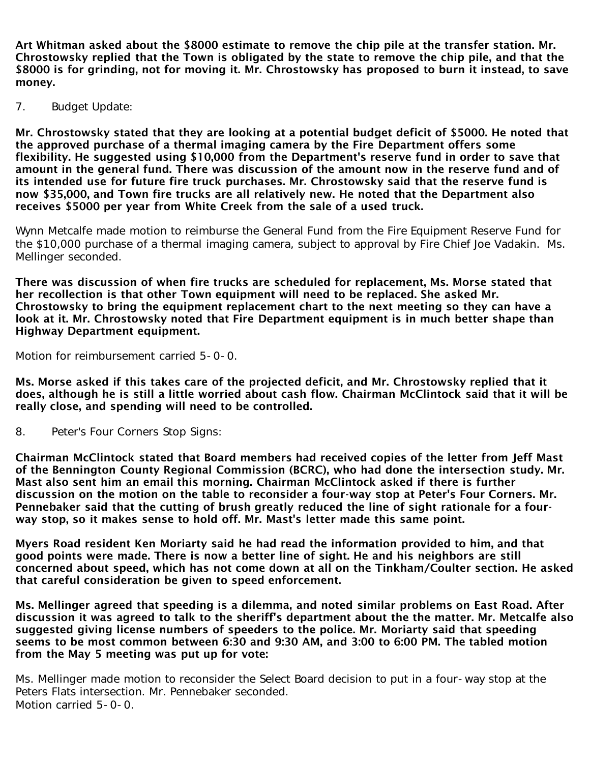Art Whitman asked about the \$8000 estimate to remove the chip pile at the transfer station. Mr. Chrostowsky replied that the Town is obligated by the state to remove the chip pile, and that the \$8000 is for grinding, not for moving it. Mr. Chrostowsky has proposed to burn it instead, to save money.

7. Budget Update:

Mr. Chrostowsky stated that they are looking at a potential budget deficit of \$5000. He noted that the approved purchase of a thermal imaging camera by the Fire Department offers some flexibility. He suggested using \$10,000 from the Department's reserve fund in order to save that amount in the general fund. There was discussion of the amount now in the reserve fund and of its intended use for future fire truck purchases. Mr. Chrostowsky said that the reserve fund is now \$35,000, and Town fire trucks are all relatively new. He noted that the Department also receives \$5000 per year from White Creek from the sale of a used truck.

Wynn Metcalfe made motion to reimburse the General Fund from the Fire Equipment Reserve Fund for the \$10,000 purchase of a thermal imaging camera, subject to approval by Fire Chief Joe Vadakin. Ms. Mellinger seconded.

There was discussion of when fire trucks are scheduled for replacement, Ms. Morse stated that her recollection is that other Town equipment will need to be replaced. She asked Mr. Chrostowsky to bring the equipment replacement chart to the next meeting so they can have a look at it. Mr. Chrostowsky noted that Fire Department equipment is in much better shape than Highway Department equipment.

Motion for reimbursement carried 5-0-0.

Ms. Morse asked if this takes care of the projected deficit, and Mr. Chrostowsky replied that it does, although he is still a little worried about cash flow. Chairman McClintock said that it will be really close, and spending will need to be controlled.

8. Peter's Four Corners Stop Signs:

Chairman McClintock stated that Board members had received copies of the letter from Jeff Mast of the Bennington County Regional Commission (BCRC), who had done the intersection study. Mr. Mast also sent him an email this morning. Chairman McClintock asked if there is further discussion on the motion on the table to reconsider a four-way stop at Peter's Four Corners. Mr. Pennebaker said that the cutting of brush greatly reduced the line of sight rationale for a fourway stop, so it makes sense to hold off. Mr. Mast's letter made this same point.

Myers Road resident Ken Moriarty said he had read the information provided to him, and that good points were made. There is now a better line of sight. He and his neighbors are still concerned about speed, which has not come down at all on the Tinkham/Coulter section. He asked that careful consideration be given to speed enforcement.

Ms. Mellinger agreed that speeding is a dilemma, and noted similar problems on East Road. After discussion it was agreed to talk to the sheriff's department about the the matter. Mr. Metcalfe also suggested giving license numbers of speeders to the police. Mr. Moriarty said that speeding seems to be most common between 6:30 and 9:30 AM, and 3:00 to 6:00 PM. The tabled motion from the May 5 meeting was put up for vote:

Ms. Mellinger made motion to reconsider the Select Board decision to put in a four-way stop at the Peters Flats intersection. Mr. Pennebaker seconded. Motion carried 5-0-0.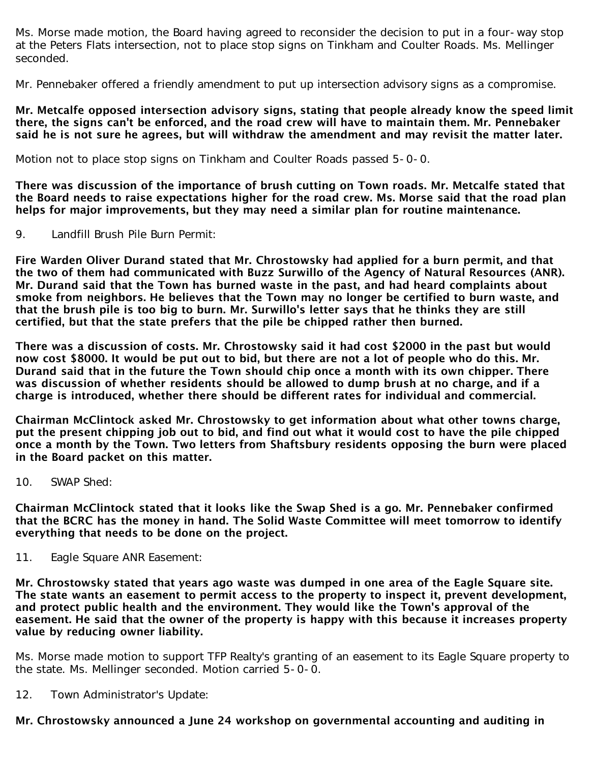Ms. Morse made motion, the Board having agreed to reconsider the decision to put in a four-way stop at the Peters Flats intersection, not to place stop signs on Tinkham and Coulter Roads. Ms. Mellinger seconded.

Mr. Pennebaker offered a friendly amendment to put up intersection advisory signs as a compromise.

Mr. Metcalfe opposed intersection advisory signs, stating that people already know the speed limit there, the signs can't be enforced, and the road crew will have to maintain them. Mr. Pennebaker said he is not sure he agrees, but will withdraw the amendment and may revisit the matter later.

Motion not to place stop signs on Tinkham and Coulter Roads passed 5-0-0.

There was discussion of the importance of brush cutting on Town roads. Mr. Metcalfe stated that the Board needs to raise expectations higher for the road crew. Ms. Morse said that the road plan helps for major improvements, but they may need a similar plan for routine maintenance.

9. Landfill Brush Pile Burn Permit:

Fire Warden Oliver Durand stated that Mr. Chrostowsky had applied for a burn permit, and that the two of them had communicated with Buzz Surwillo of the Agency of Natural Resources (ANR). Mr. Durand said that the Town has burned waste in the past, and had heard complaints about smoke from neighbors. He believes that the Town may no longer be certified to burn waste, and that the brush pile is too big to burn. Mr. Surwillo's letter says that he thinks they are still certified, but that the state prefers that the pile be chipped rather then burned.

There was a discussion of costs. Mr. Chrostowsky said it had cost \$2000 in the past but would now cost \$8000. It would be put out to bid, but there are not a lot of people who do this. Mr. Durand said that in the future the Town should chip once a month with its own chipper. There was discussion of whether residents should be allowed to dump brush at no charge, and if a charge is introduced, whether there should be different rates for individual and commercial.

Chairman McClintock asked Mr. Chrostowsky to get information about what other towns charge, put the present chipping job out to bid, and find out what it would cost to have the pile chipped once a month by the Town. Two letters from Shaftsbury residents opposing the burn were placed in the Board packet on this matter.

10. SWAP Shed:

Chairman McClintock stated that it looks like the Swap Shed is a go. Mr. Pennebaker confirmed that the BCRC has the money in hand. The Solid Waste Committee will meet tomorrow to identify everything that needs to be done on the project.

11. Eagle Square ANR Easement:

Mr. Chrostowsky stated that years ago waste was dumped in one area of the Eagle Square site. The state wants an easement to permit access to the property to inspect it, prevent development, and protect public health and the environment. They would like the Town's approval of the easement. He said that the owner of the property is happy with this because it increases property value by reducing owner liability.

Ms. Morse made motion to support TFP Realty's granting of an easement to its Eagle Square property to the state. Ms. Mellinger seconded. Motion carried 5-0-0.

12. Town Administrator's Update:

# Mr. Chrostowsky announced a June 24 workshop on governmental accounting and auditing in